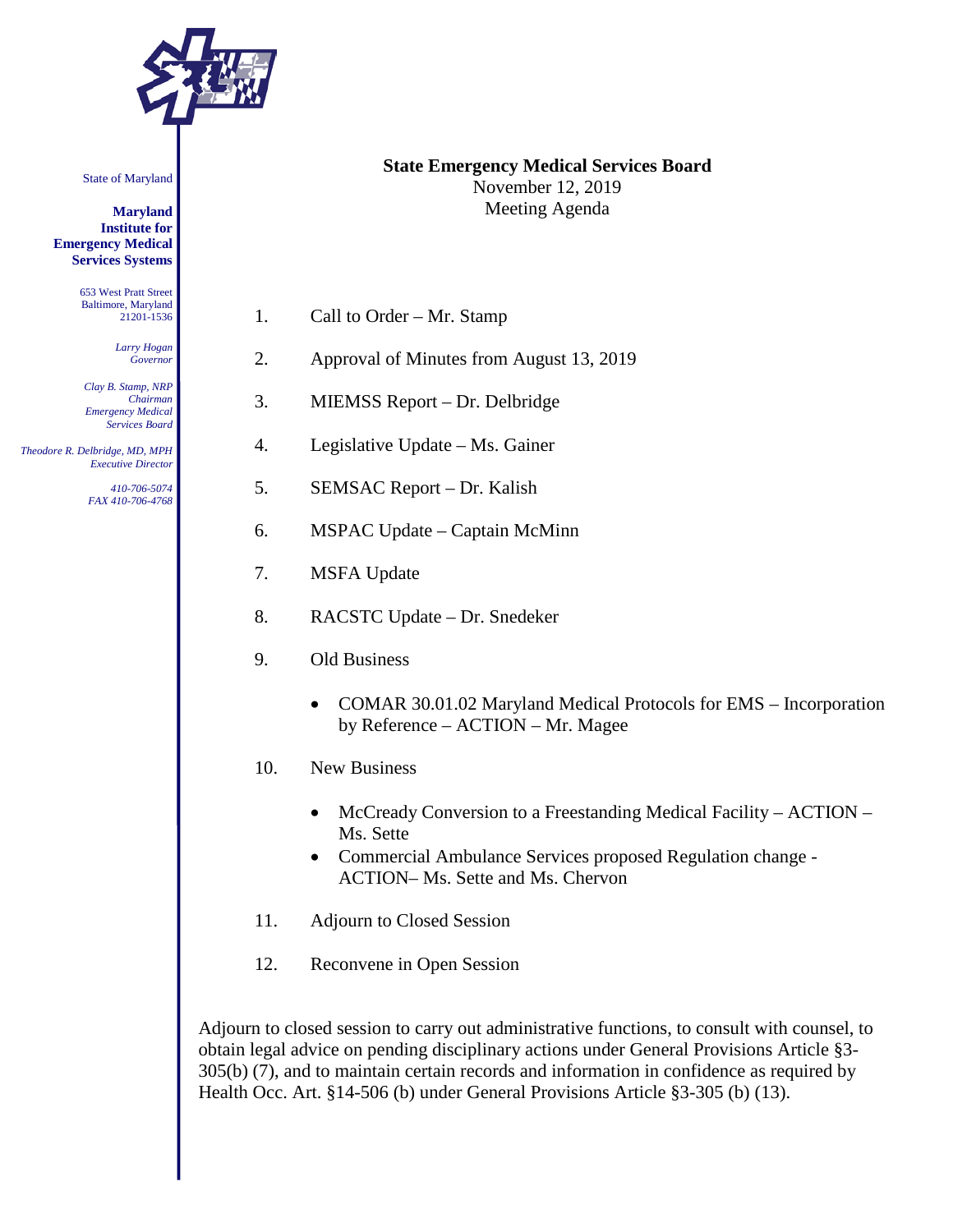

State of Maryland

**Maryland Institute for Emergency Medical Services Systems**

> 653 West Pratt Street Baltimore, Maryland 21201-1536

> > *Larry Hogan Governor*

*Clay B. Stamp, NRP Chairman Emergency Medical Services Board*

 *Theodore R. Delbridge, MD, MPH Executive Director*

> *410-706-5074 FAX 410-706-4768*

**State Emergency Medical Services Board** November 12, 2019 Meeting Agenda

1. Call to Order – Mr. Stamp

- 2. Approval of Minutes from August 13, 2019
- 3. MIEMSS Report Dr. Delbridge
- 4. Legislative Update Ms. Gainer
- 5. SEMSAC Report Dr. Kalish
- 6. MSPAC Update Captain McMinn
- 7. MSFA Update
- 8. RACSTC Update Dr. Snedeker
- 9. Old Business
	- COMAR 30.01.02 Maryland Medical Protocols for EMS Incorporation by Reference – ACTION – Mr. Magee
- 10. New Business
	- McCready Conversion to a Freestanding Medical Facility ACTION Ms. Sette
	- Commercial Ambulance Services proposed Regulation change ACTION– Ms. Sette and Ms. Chervon
- 11. Adjourn to Closed Session
- 12. Reconvene in Open Session

Adjourn to closed session to carry out administrative functions, to consult with counsel, to obtain legal advice on pending disciplinary actions under General Provisions Article §3- 305(b) (7), and to maintain certain records and information in confidence as required by Health Occ. Art. §14-506 (b) under General Provisions Article §3-305 (b) (13).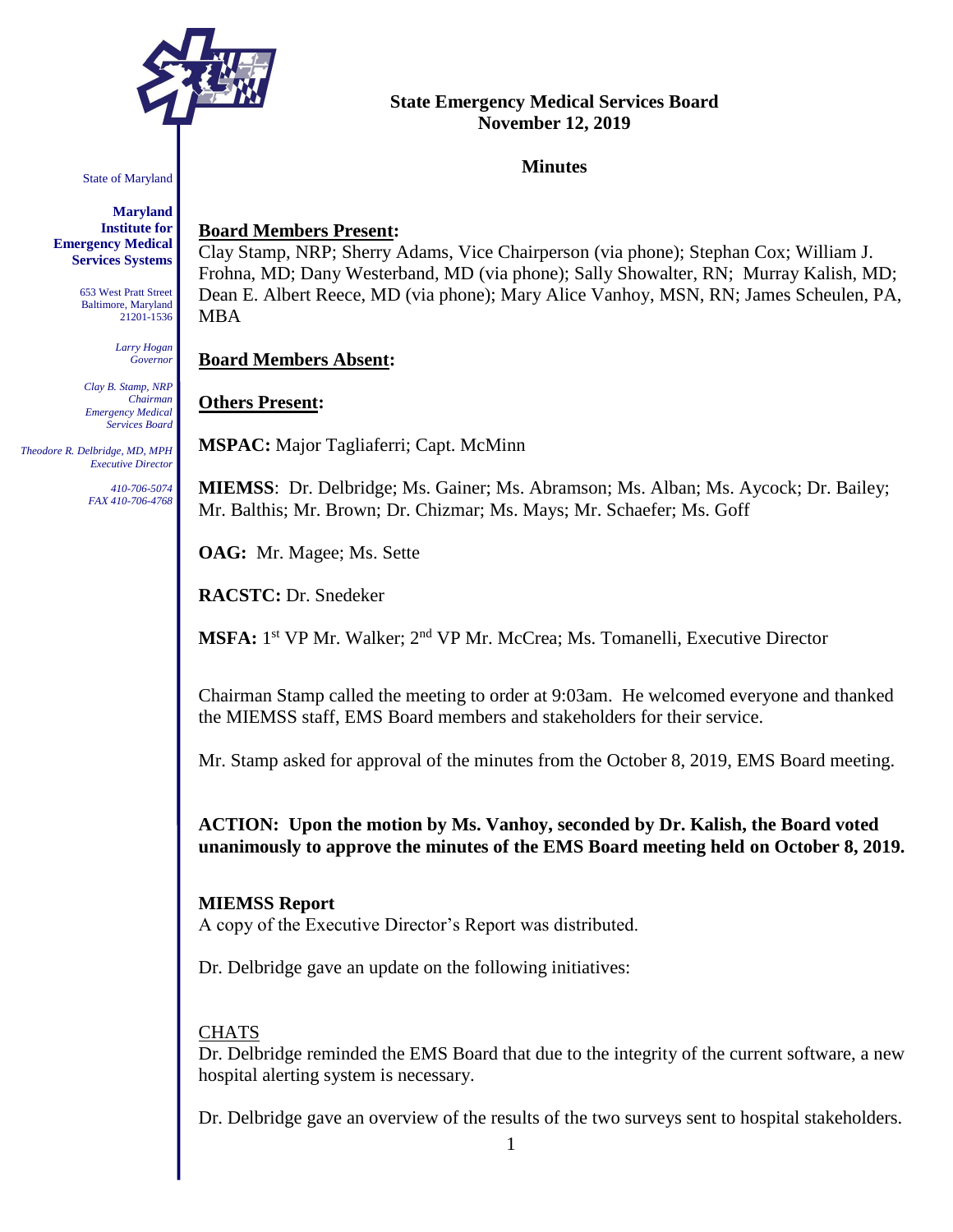

## **State Emergency Medical Services Board November 12, 2019**

### **Minutes**

State of Maryland

**Maryland Institute for Emergency Medical Services Systems**

> 653 West Pratt Street Baltimore, Maryland 21201-1536

> > *Larry Hogan Governor*

*Clay B. Stamp, NRP Chairman Emergency Medical Services Board*

 *Theodore R. Delbridge, MD, MPH Executive Director*

> *410-706-5074 FAX 410-706-4768*

# **Board Members Present:**

Clay Stamp, NRP; Sherry Adams, Vice Chairperson (via phone); Stephan Cox; William J. Frohna, MD; Dany Westerband, MD (via phone); Sally Showalter, RN; Murray Kalish, MD; Dean E. Albert Reece, MD (via phone); Mary Alice Vanhoy, MSN, RN; James Scheulen, PA, MBA

## **Board Members Absent:**

# **Others Present:**

**MSPAC:** Major Tagliaferri; Capt. McMinn

**MIEMSS**: Dr. Delbridge; Ms. Gainer; Ms. Abramson; Ms. Alban; Ms. Aycock; Dr. Bailey; Mr. Balthis; Mr. Brown; Dr. Chizmar; Ms. Mays; Mr. Schaefer; Ms. Goff

**OAG:** Mr. Magee; Ms. Sette

**RACSTC:** Dr. Snedeker

**MSFA:** 1<sup>st</sup> VP Mr. Walker; 2<sup>nd</sup> VP Mr. McCrea; Ms. Tomanelli, Executive Director

Chairman Stamp called the meeting to order at 9:03am. He welcomed everyone and thanked the MIEMSS staff, EMS Board members and stakeholders for their service.

Mr. Stamp asked for approval of the minutes from the October 8, 2019, EMS Board meeting.

**ACTION: Upon the motion by Ms. Vanhoy, seconded by Dr. Kalish, the Board voted unanimously to approve the minutes of the EMS Board meeting held on October 8, 2019.** 

# **MIEMSS Report**

A copy of the Executive Director's Report was distributed.

Dr. Delbridge gave an update on the following initiatives:

# **CHATS**

Dr. Delbridge reminded the EMS Board that due to the integrity of the current software, a new hospital alerting system is necessary.

Dr. Delbridge gave an overview of the results of the two surveys sent to hospital stakeholders.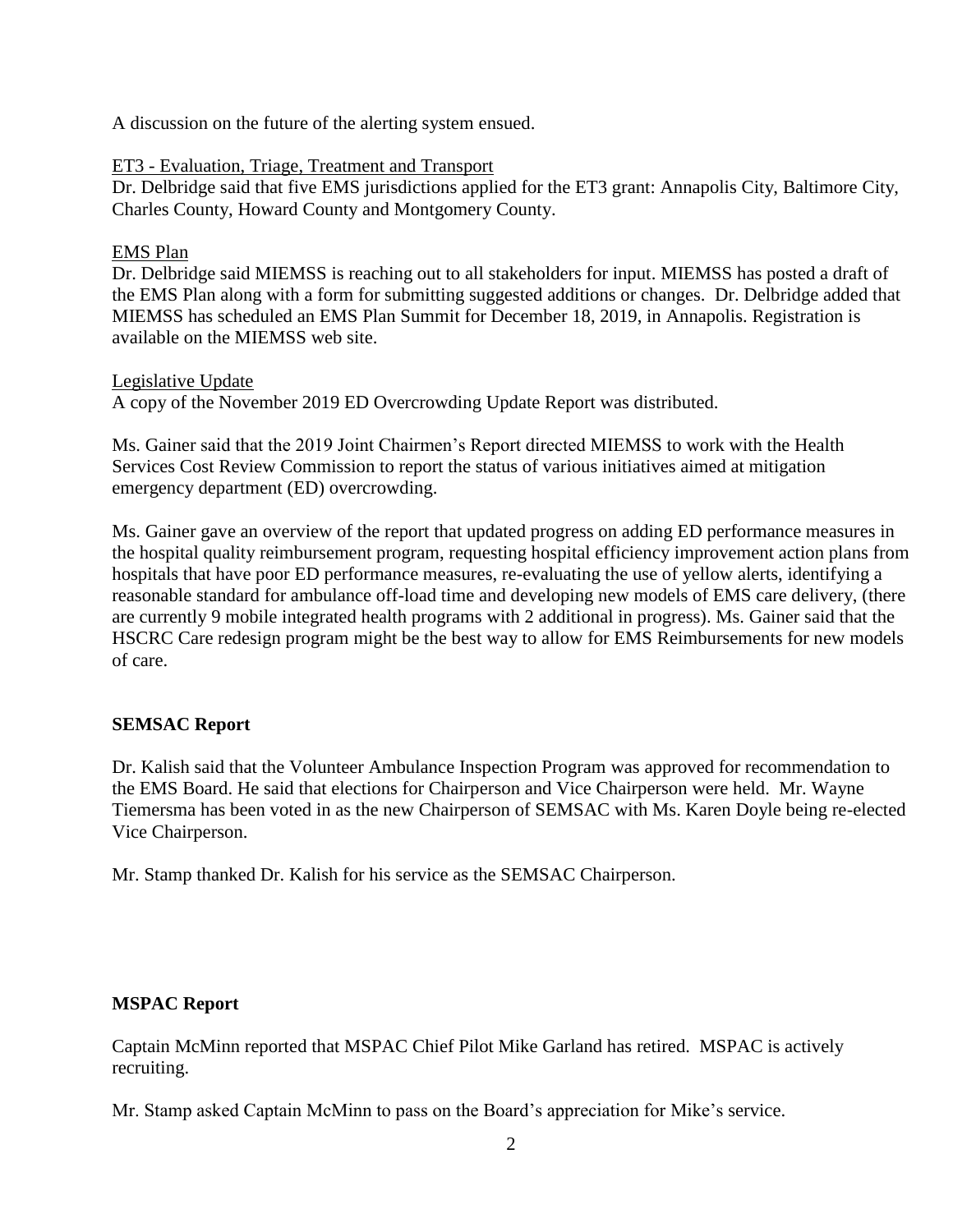A discussion on the future of the alerting system ensued.

## ET3 - Evaluation, Triage, Treatment and Transport

Dr. Delbridge said that five EMS jurisdictions applied for the ET3 grant: Annapolis City, Baltimore City, Charles County, Howard County and Montgomery County.

### EMS Plan

Dr. Delbridge said MIEMSS is reaching out to all stakeholders for input. MIEMSS has posted a draft of the EMS Plan along with a form for submitting suggested additions or changes. Dr. Delbridge added that MIEMSS has scheduled an EMS Plan Summit for December 18, 2019, in Annapolis. Registration is available on the MIEMSS web site.

### Legislative Update

A copy of the November 2019 ED Overcrowding Update Report was distributed.

Ms. Gainer said that the 2019 Joint Chairmen's Report directed MIEMSS to work with the Health Services Cost Review Commission to report the status of various initiatives aimed at mitigation emergency department (ED) overcrowding.

Ms. Gainer gave an overview of the report that updated progress on adding ED performance measures in the hospital quality reimbursement program, requesting hospital efficiency improvement action plans from hospitals that have poor ED performance measures, re-evaluating the use of yellow alerts, identifying a reasonable standard for ambulance off-load time and developing new models of EMS care delivery, (there are currently 9 mobile integrated health programs with 2 additional in progress). Ms. Gainer said that the HSCRC Care redesign program might be the best way to allow for EMS Reimbursements for new models of care.

# **SEMSAC Report**

Dr. Kalish said that the Volunteer Ambulance Inspection Program was approved for recommendation to the EMS Board. He said that elections for Chairperson and Vice Chairperson were held. Mr. Wayne Tiemersma has been voted in as the new Chairperson of SEMSAC with Ms. Karen Doyle being re-elected Vice Chairperson.

Mr. Stamp thanked Dr. Kalish for his service as the SEMSAC Chairperson.

# **MSPAC Report**

Captain McMinn reported that MSPAC Chief Pilot Mike Garland has retired. MSPAC is actively recruiting.

Mr. Stamp asked Captain McMinn to pass on the Board's appreciation for Mike's service.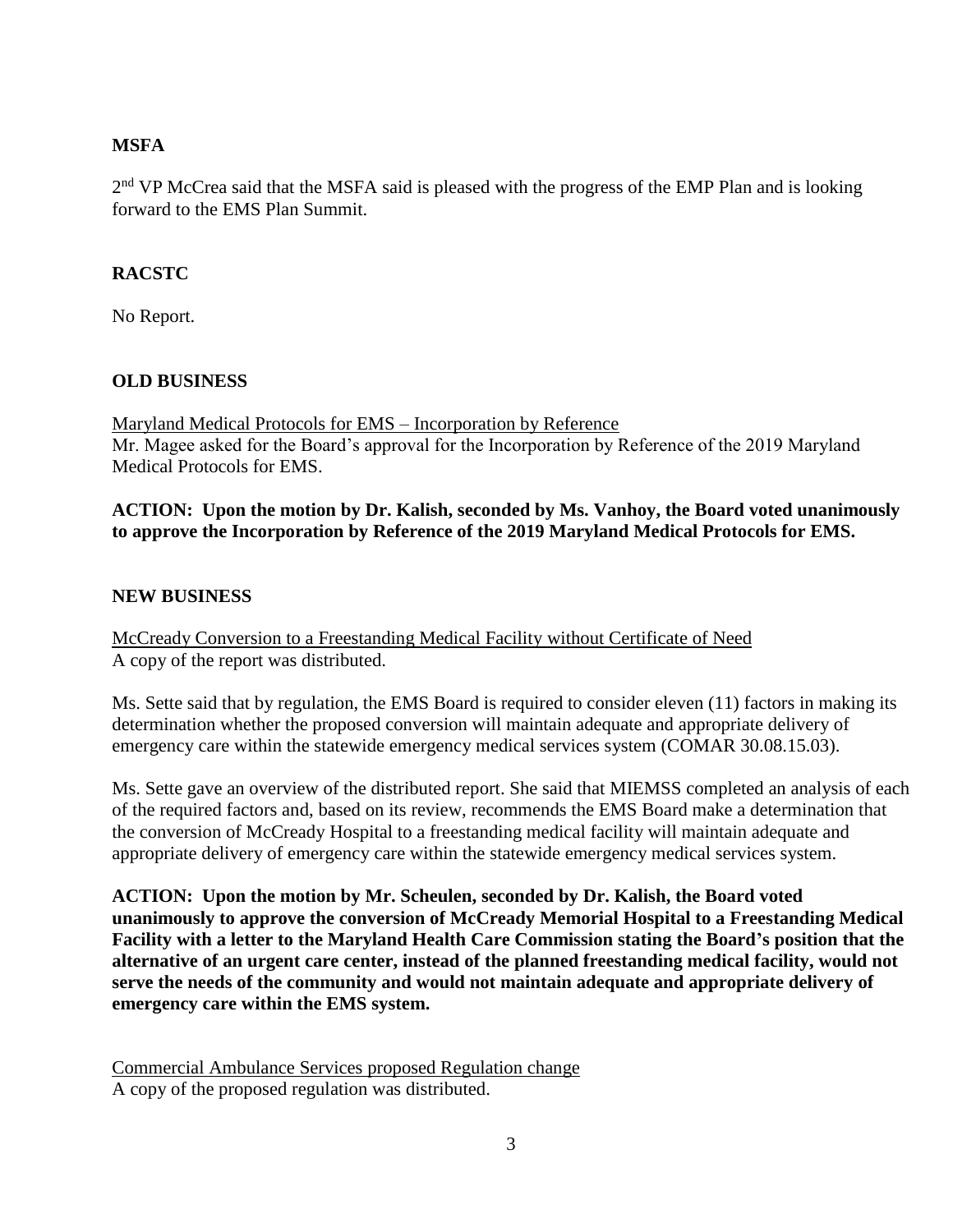# **MSFA**

2<sup>nd</sup> VP McCrea said that the MSFA said is pleased with the progress of the EMP Plan and is looking forward to the EMS Plan Summit.

# **RACSTC**

No Report.

# **OLD BUSINESS**

Maryland Medical Protocols for EMS – Incorporation by Reference Mr. Magee asked for the Board's approval for the Incorporation by Reference of the 2019 Maryland Medical Protocols for EMS.

# **ACTION: Upon the motion by Dr. Kalish, seconded by Ms. Vanhoy, the Board voted unanimously to approve the Incorporation by Reference of the 2019 Maryland Medical Protocols for EMS.**

# **NEW BUSINESS**

McCready Conversion to a Freestanding Medical Facility without Certificate of Need A copy of the report was distributed.

Ms. Sette said that by regulation, the EMS Board is required to consider eleven (11) factors in making its determination whether the proposed conversion will maintain adequate and appropriate delivery of emergency care within the statewide emergency medical services system (COMAR 30.08.15.03).

Ms. Sette gave an overview of the distributed report. She said that MIEMSS completed an analysis of each of the required factors and, based on its review, recommends the EMS Board make a determination that the conversion of McCready Hospital to a freestanding medical facility will maintain adequate and appropriate delivery of emergency care within the statewide emergency medical services system.

**ACTION: Upon the motion by Mr. Scheulen, seconded by Dr. Kalish, the Board voted unanimously to approve the conversion of McCready Memorial Hospital to a Freestanding Medical Facility with a letter to the Maryland Health Care Commission stating the Board's position that the alternative of an urgent care center, instead of the planned freestanding medical facility, would not serve the needs of the community and would not maintain adequate and appropriate delivery of emergency care within the EMS system.** 

Commercial Ambulance Services proposed Regulation change A copy of the proposed regulation was distributed.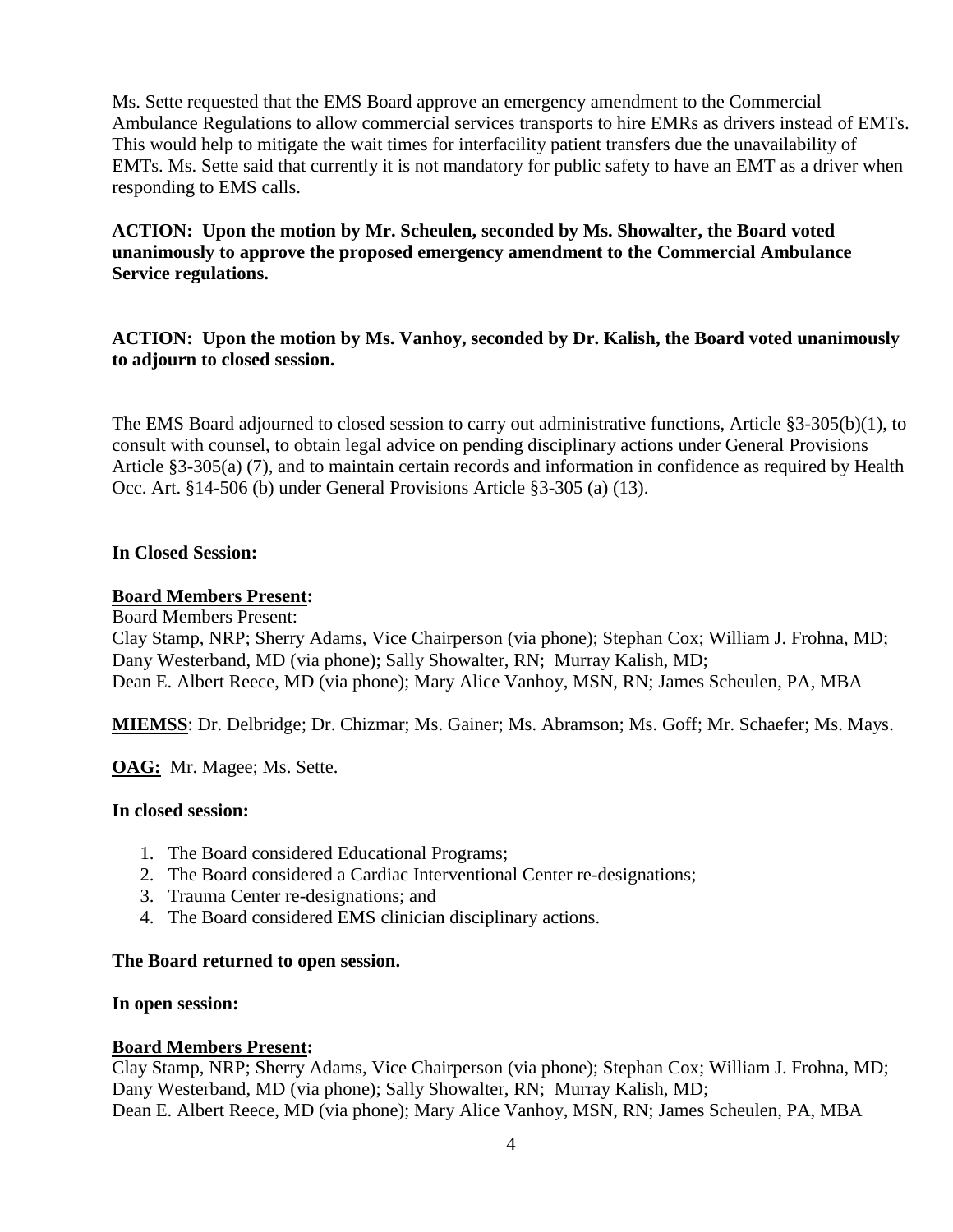Ms. Sette requested that the EMS Board approve an emergency amendment to the Commercial Ambulance Regulations to allow commercial services transports to hire EMRs as drivers instead of EMTs. This would help to mitigate the wait times for interfacility patient transfers due the unavailability of EMTs. Ms. Sette said that currently it is not mandatory for public safety to have an EMT as a driver when responding to EMS calls.

# **ACTION: Upon the motion by Mr. Scheulen, seconded by Ms. Showalter, the Board voted unanimously to approve the proposed emergency amendment to the Commercial Ambulance Service regulations.**

# **ACTION: Upon the motion by Ms. Vanhoy, seconded by Dr. Kalish, the Board voted unanimously to adjourn to closed session.**

The EMS Board adjourned to closed session to carry out administrative functions, Article §3-305(b)(1), to consult with counsel, to obtain legal advice on pending disciplinary actions under General Provisions Article §3-305(a) (7), and to maintain certain records and information in confidence as required by Health Occ. Art. §14-506 (b) under General Provisions Article §3-305 (a) (13).

### **In Closed Session:**

#### **Board Members Present:**

Board Members Present:

Clay Stamp, NRP; Sherry Adams, Vice Chairperson (via phone); Stephan Cox; William J. Frohna, MD; Dany Westerband, MD (via phone); Sally Showalter, RN; Murray Kalish, MD; Dean E. Albert Reece, MD (via phone); Mary Alice Vanhoy, MSN, RN; James Scheulen, PA, MBA

**MIEMSS**: Dr. Delbridge; Dr. Chizmar; Ms. Gainer; Ms. Abramson; Ms. Goff; Mr. Schaefer; Ms. Mays.

**OAG:** Mr. Magee; Ms. Sette.

#### **In closed session:**

- 1. The Board considered Educational Programs;
- 2. The Board considered a Cardiac Interventional Center re-designations;
- 3. Trauma Center re-designations; and
- 4. The Board considered EMS clinician disciplinary actions.

#### **The Board returned to open session.**

#### **In open session:**

### **Board Members Present:**

Clay Stamp, NRP; Sherry Adams, Vice Chairperson (via phone); Stephan Cox; William J. Frohna, MD; Dany Westerband, MD (via phone); Sally Showalter, RN; Murray Kalish, MD; Dean E. Albert Reece, MD (via phone); Mary Alice Vanhoy, MSN, RN; James Scheulen, PA, MBA